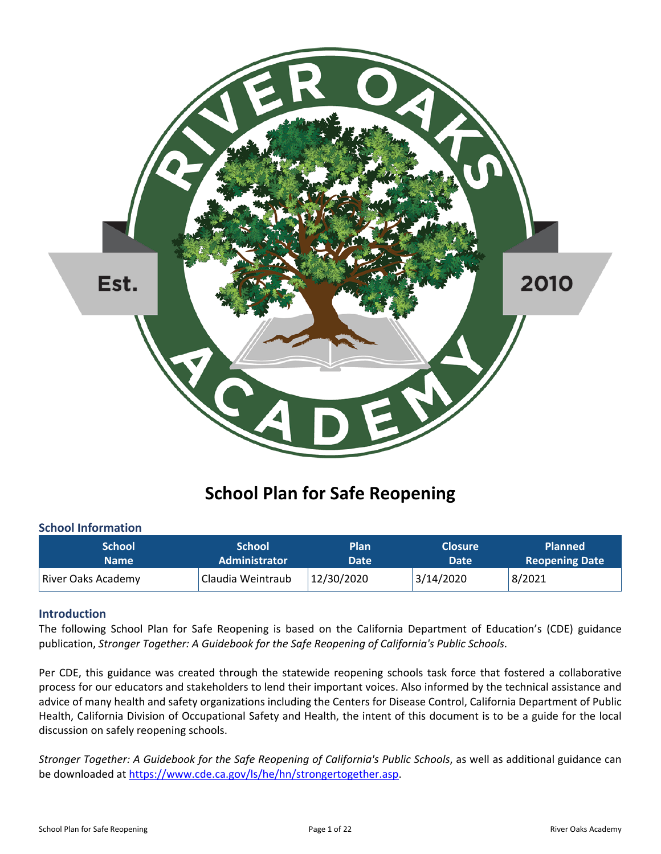

# **School Plan for Safe Reopening**

#### **School Information**

| <b>School</b>      | <b>School</b>        | <b>Plan</b> | <b>Closure</b> | <b>Planned</b>        |
|--------------------|----------------------|-------------|----------------|-----------------------|
| Name I             | <b>Administrator</b> | Date        | Date           | <b>Reopening Date</b> |
| River Oaks Academy | Claudia Weintraub    | 12/30/2020  | 3/14/2020      | 8/2021                |

#### **Introduction**

The following School Plan for Safe Reopening is based on the California Department of Education's (CDE) guidance publication, *Stronger Together: A Guidebook for the Safe Reopening of California's Public Schools*.

Per CDE, this guidance was created through the statewide reopening schools task force that fostered a collaborative process for our educators and stakeholders to lend their important voices. Also informed by the technical assistance and advice of many health and safety organizations including the Centers for Disease Control, California Department of Public Health, California Division of Occupational Safety and Health, the intent of this document is to be a guide for the local discussion on safely reopening schools.

*Stronger Together: A Guidebook for the Safe Reopening of California's Public Schools*, as well as additional guidance can be downloaded at https://www.cde.ca.gov/ls/he/hn/strongertogether.asp.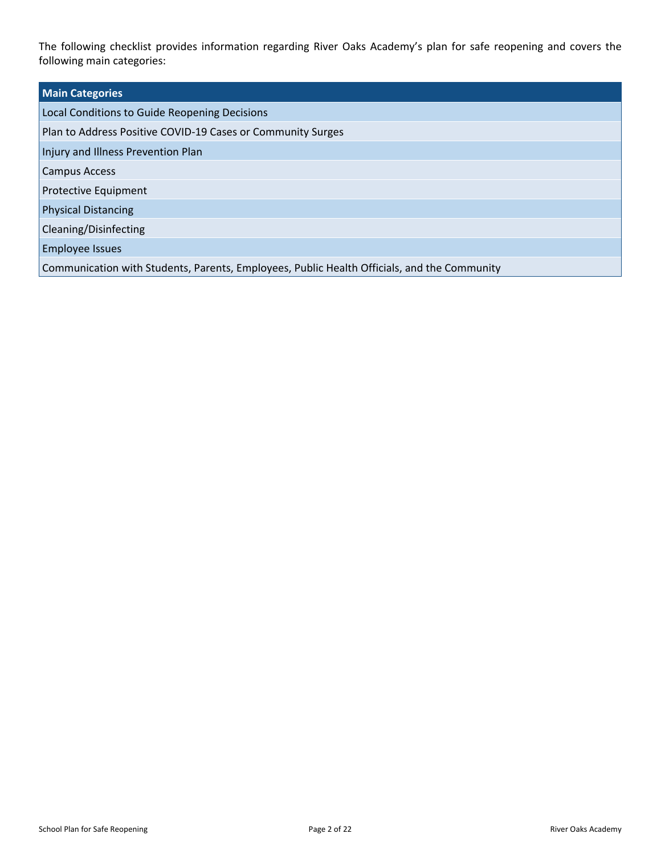The following checklist provides information regarding River Oaks Academy's plan for safe reopening and covers the following main categories:

| <b>Main Categories</b>                                                                      |  |
|---------------------------------------------------------------------------------------------|--|
| Local Conditions to Guide Reopening Decisions                                               |  |
| Plan to Address Positive COVID-19 Cases or Community Surges                                 |  |
| Injury and Illness Prevention Plan                                                          |  |
| <b>Campus Access</b>                                                                        |  |
| <b>Protective Equipment</b>                                                                 |  |
| <b>Physical Distancing</b>                                                                  |  |
| Cleaning/Disinfecting                                                                       |  |
| <b>Employee Issues</b>                                                                      |  |
| Communication with Students, Parents, Employees, Public Health Officials, and the Community |  |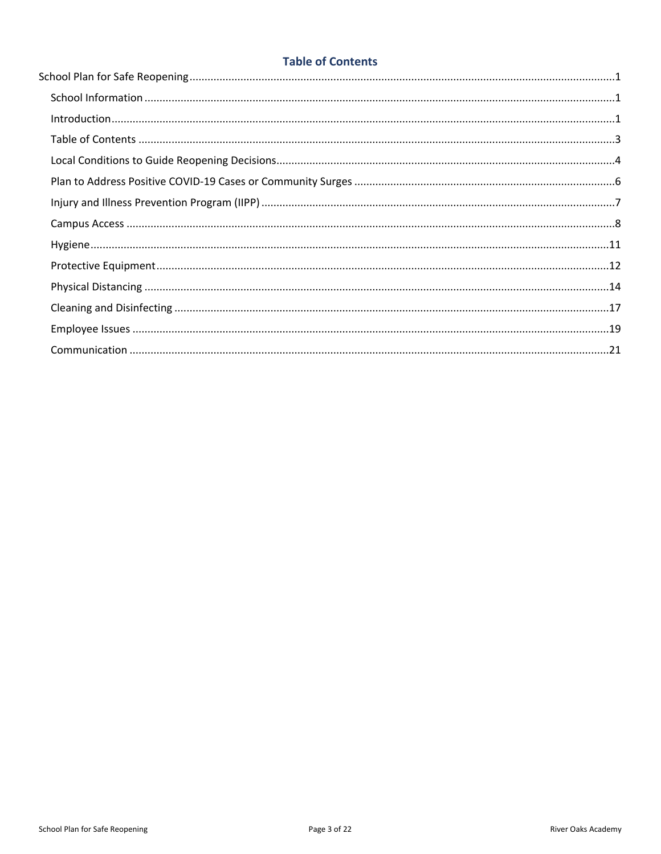## **Table of Contents**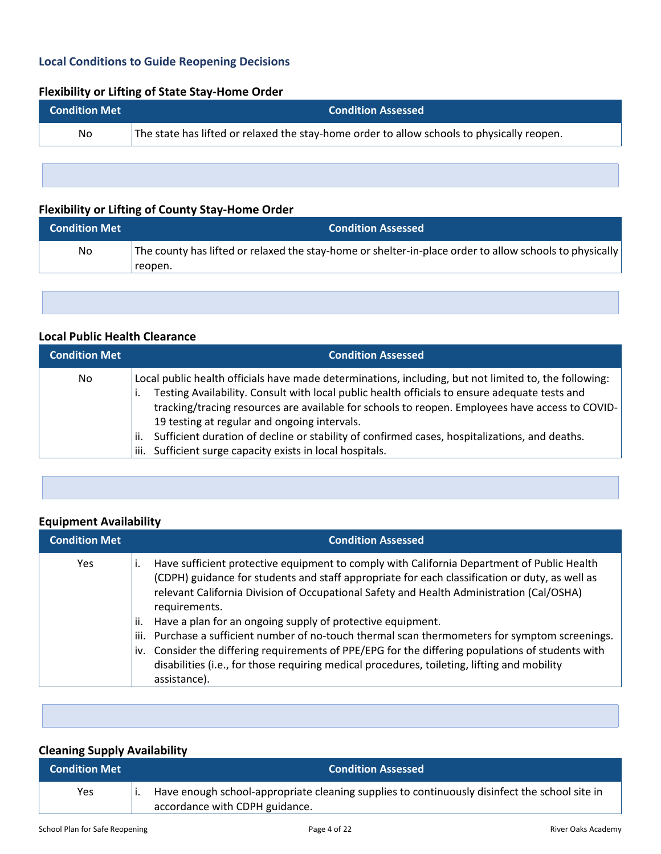## **Local Conditions to Guide Reopening Decisions**

### **Flexibility or Lifting of State Stay-Home Order**

| <b>Condition Met</b> | <b>Condition Assessed</b>                                                                  |
|----------------------|--------------------------------------------------------------------------------------------|
| No.                  | The state has lifted or relaxed the stay-home order to allow schools to physically reopen. |
|                      |                                                                                            |

## **Flexibility or Lifting of County Stay-Home Order**

| <b>Condition Met</b> | <b>Condition Assessed</b>                                                                                          |
|----------------------|--------------------------------------------------------------------------------------------------------------------|
| No                   | The county has lifted or relaxed the stay-home or shelter-in-place order to allow schools to physically<br>reopen. |

#### **Local Public Health Clearance**

| <b>Condition Met</b> | <b>Condition Assessed</b>                                                                                                                                                                                                                                                                                                                                                                                                                                                                                                         |
|----------------------|-----------------------------------------------------------------------------------------------------------------------------------------------------------------------------------------------------------------------------------------------------------------------------------------------------------------------------------------------------------------------------------------------------------------------------------------------------------------------------------------------------------------------------------|
| No                   | Local public health officials have made determinations, including, but not limited to, the following:<br>Testing Availability. Consult with local public health officials to ensure adequate tests and<br>tracking/tracing resources are available for schools to reopen. Employees have access to COVID-<br>19 testing at regular and ongoing intervals.<br>Sufficient duration of decline or stability of confirmed cases, hospitalizations, and deaths.<br>ii.<br>Sufficient surge capacity exists in local hospitals.<br>iii. |

#### **Equipment Availability**

| <b>Condition Met</b> | <b>Condition Assessed</b>                                                                                                                                                                                                                                                                                                                                                                                                                                                                                                                                                                                                                                                                                |
|----------------------|----------------------------------------------------------------------------------------------------------------------------------------------------------------------------------------------------------------------------------------------------------------------------------------------------------------------------------------------------------------------------------------------------------------------------------------------------------------------------------------------------------------------------------------------------------------------------------------------------------------------------------------------------------------------------------------------------------|
| <b>Yes</b>           | Have sufficient protective equipment to comply with California Department of Public Health<br>(CDPH) guidance for students and staff appropriate for each classification or duty, as well as<br>relevant California Division of Occupational Safety and Health Administration (Cal/OSHA)<br>requirements.<br>Have a plan for an ongoing supply of protective equipment.<br>ii.<br>Purchase a sufficient number of no-touch thermal scan thermometers for symptom screenings.<br>iii.<br>iv. Consider the differing requirements of PPE/EPG for the differing populations of students with<br>disabilities (i.e., for those requiring medical procedures, toileting, lifting and mobility<br>assistance). |

## **Cleaning Supply Availability**

| <b>Condition Met</b> | <b>Condition Assessed</b>                                                                                                       |
|----------------------|---------------------------------------------------------------------------------------------------------------------------------|
| Yes                  | Have enough school-appropriate cleaning supplies to continuously disinfect the school site in<br>accordance with CDPH guidance. |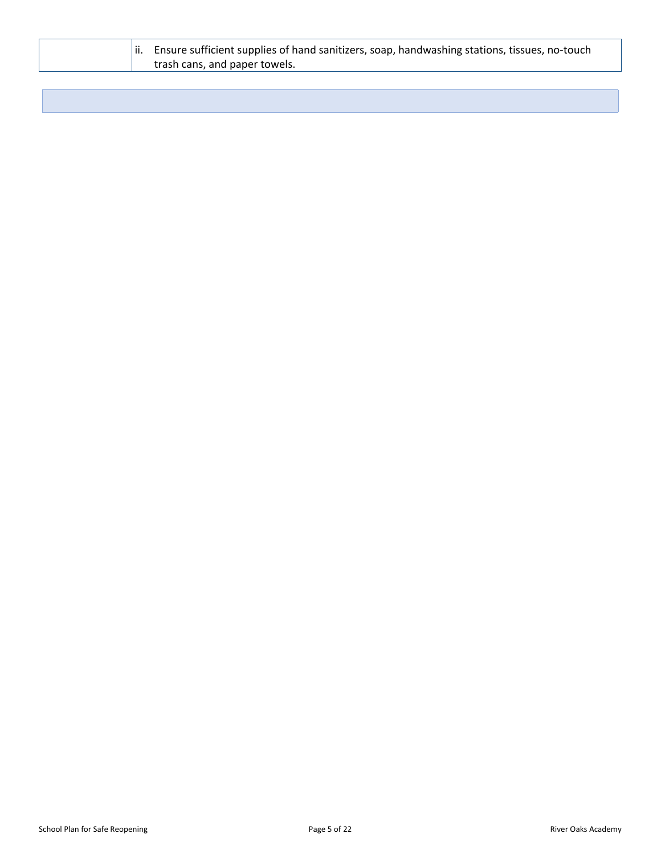| $\parallel$ ii. Ensure sufficient supplies of hand sanitizers, soap, handwashing stations, tissues, no-touch |
|--------------------------------------------------------------------------------------------------------------|
| trash cans, and paper towels.                                                                                |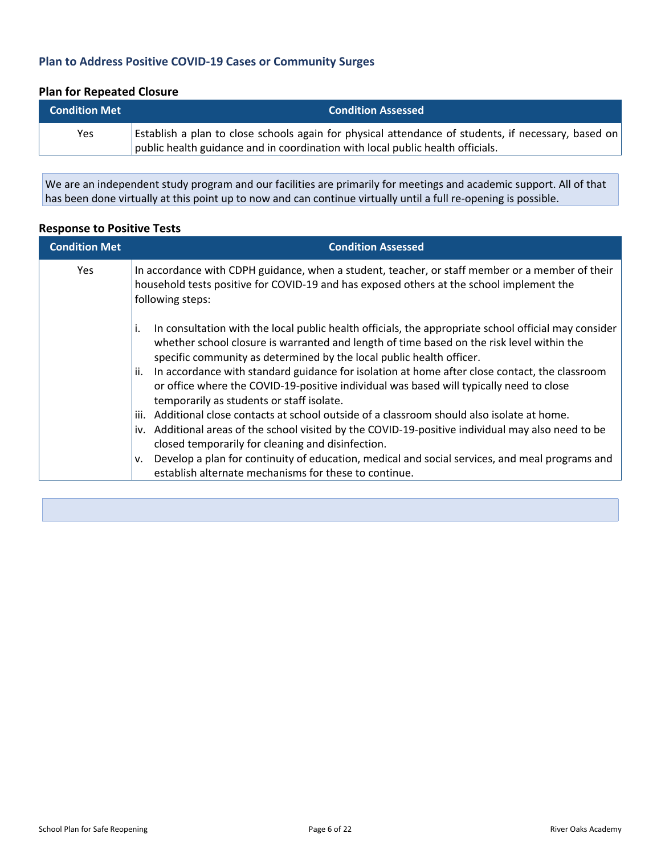## **Plan to Address Positive COVID-19 Cases or Community Surges**

## **Plan for Repeated Closure**

| <b>Condition Met</b> | <b>Condition Assessed</b>                                                                           |
|----------------------|-----------------------------------------------------------------------------------------------------|
| <b>Yes</b>           | Establish a plan to close schools again for physical attendance of students, if necessary, based on |
|                      | public health guidance and in coordination with local public health officials.                      |

We are an independent study program and our facilities are primarily for meetings and academic support. All of that has been done virtually at this point up to now and can continue virtually until a full re-opening is possible.

### **Response to Positive Tests**

| <b>Condition Met</b> | <b>Condition Assessed</b>                                                                                                                                                                                                                                                                                                                                                                                                                                                                                                                                                                                                          |
|----------------------|------------------------------------------------------------------------------------------------------------------------------------------------------------------------------------------------------------------------------------------------------------------------------------------------------------------------------------------------------------------------------------------------------------------------------------------------------------------------------------------------------------------------------------------------------------------------------------------------------------------------------------|
| <b>Yes</b>           | In accordance with CDPH guidance, when a student, teacher, or staff member or a member of their<br>household tests positive for COVID-19 and has exposed others at the school implement the<br>following steps:                                                                                                                                                                                                                                                                                                                                                                                                                    |
|                      | In consultation with the local public health officials, the appropriate school official may consider<br>i.<br>whether school closure is warranted and length of time based on the risk level within the<br>specific community as determined by the local public health officer.<br>In accordance with standard guidance for isolation at home after close contact, the classroom<br>ii.<br>or office where the COVID-19-positive individual was based will typically need to close<br>temporarily as students or staff isolate.<br>Additional close contacts at school outside of a classroom should also isolate at home.<br>iii. |
|                      | iv. Additional areas of the school visited by the COVID-19-positive individual may also need to be<br>closed temporarily for cleaning and disinfection.<br>Develop a plan for continuity of education, medical and social services, and meal programs and<br>v.<br>establish alternate mechanisms for these to continue.                                                                                                                                                                                                                                                                                                           |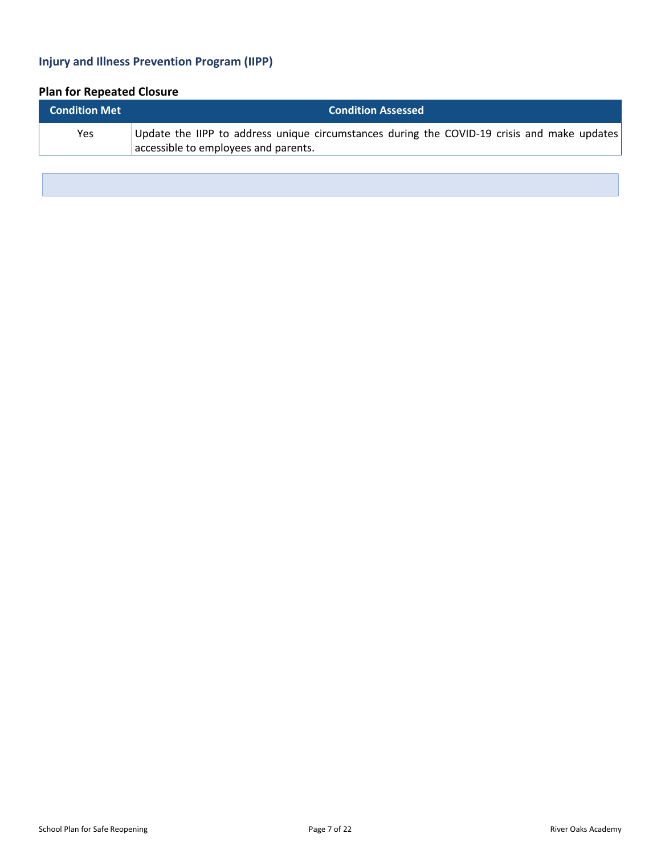## **Injury and Illness Prevention Program (IIPP)**

# **Plan for Repeated Closure**

| <b>Condition Met</b> | <b>Condition Assessed</b>                                                                                                           |
|----------------------|-------------------------------------------------------------------------------------------------------------------------------------|
| Yes                  | Update the IIPP to address unique circumstances during the COVID-19 crisis and make updates<br>accessible to employees and parents. |
|                      |                                                                                                                                     |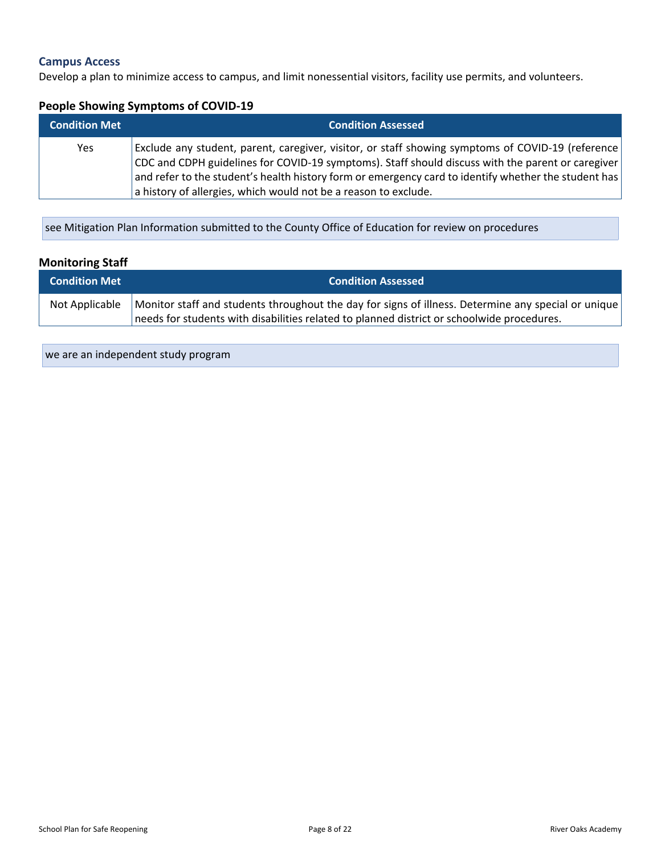#### **Campus Access**

Develop a plan to minimize access to campus, and limit nonessential visitors, facility use permits, and volunteers.

#### **People Showing Symptoms of COVID-19**

| <b>Condition Met</b> | <b>Condition Assessed</b>                                                                                                                                                                              |
|----------------------|--------------------------------------------------------------------------------------------------------------------------------------------------------------------------------------------------------|
| Yes                  | Exclude any student, parent, caregiver, visitor, or staff showing symptoms of COVID-19 (reference<br>CDC and CDPH guidelines for COVID-19 symptoms). Staff should discuss with the parent or caregiver |
|                      | and refer to the student's health history form or emergency card to identify whether the student has                                                                                                   |
|                      | a history of allergies, which would not be a reason to exclude.                                                                                                                                        |

see Mitigation Plan Information submitted to the County Office of Education for review on procedures

## **Monitoring Staff**

| <b>Condition Met</b> | <b>Condition Assessed</b>                                                                           |
|----------------------|-----------------------------------------------------------------------------------------------------|
| Not Applicable       | Monitor staff and students throughout the day for signs of illness. Determine any special or unique |
|                      | needs for students with disabilities related to planned district or schoolwide procedures.          |

we are an independent study program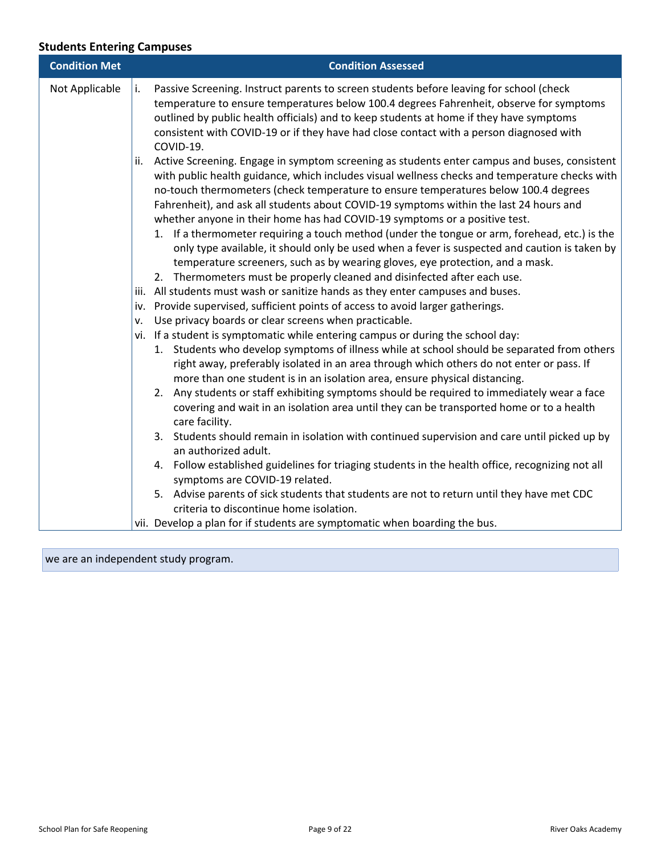## **Students Entering Campuses**

| <b>Condition Met</b> | <b>Condition Assessed</b>                                                                                                                                                                                                                                                                                                                                                                                                                                                                                                                                                                                                                                                                                                                                                                                                                                                                                                                                                                                                                                                                                                                                                                                                                                                                                                                                                                                                                                                                                                                                                                                                                                                                                                                                                                                                                                                                                                                                                                                                                                                                                                                             |
|----------------------|-------------------------------------------------------------------------------------------------------------------------------------------------------------------------------------------------------------------------------------------------------------------------------------------------------------------------------------------------------------------------------------------------------------------------------------------------------------------------------------------------------------------------------------------------------------------------------------------------------------------------------------------------------------------------------------------------------------------------------------------------------------------------------------------------------------------------------------------------------------------------------------------------------------------------------------------------------------------------------------------------------------------------------------------------------------------------------------------------------------------------------------------------------------------------------------------------------------------------------------------------------------------------------------------------------------------------------------------------------------------------------------------------------------------------------------------------------------------------------------------------------------------------------------------------------------------------------------------------------------------------------------------------------------------------------------------------------------------------------------------------------------------------------------------------------------------------------------------------------------------------------------------------------------------------------------------------------------------------------------------------------------------------------------------------------------------------------------------------------------------------------------------------------|
| Not Applicable       | Passive Screening. Instruct parents to screen students before leaving for school (check<br>temperature to ensure temperatures below 100.4 degrees Fahrenheit, observe for symptoms<br>outlined by public health officials) and to keep students at home if they have symptoms<br>consistent with COVID-19 or if they have had close contact with a person diagnosed with<br>COVID-19.<br>Active Screening. Engage in symptom screening as students enter campus and buses, consistent<br>with public health guidance, which includes visual wellness checks and temperature checks with<br>no-touch thermometers (check temperature to ensure temperatures below 100.4 degrees<br>Fahrenheit), and ask all students about COVID-19 symptoms within the last 24 hours and<br>whether anyone in their home has had COVID-19 symptoms or a positive test.<br>1. If a thermometer requiring a touch method (under the tongue or arm, forehead, etc.) is the<br>only type available, it should only be used when a fever is suspected and caution is taken by<br>temperature screeners, such as by wearing gloves, eye protection, and a mask.<br>2. Thermometers must be properly cleaned and disinfected after each use.<br>iii. All students must wash or sanitize hands as they enter campuses and buses.<br>iv. Provide supervised, sufficient points of access to avoid larger gatherings.<br>Use privacy boards or clear screens when practicable.<br>vi. If a student is symptomatic while entering campus or during the school day:<br>1. Students who develop symptoms of illness while at school should be separated from others<br>right away, preferably isolated in an area through which others do not enter or pass. If<br>more than one student is in an isolation area, ensure physical distancing.<br>2. Any students or staff exhibiting symptoms should be required to immediately wear a face<br>covering and wait in an isolation area until they can be transported home or to a health<br>care facility.<br>3. Students should remain in isolation with continued supervision and care until picked up by<br>an authorized adult. |
|                      | 4. Follow established guidelines for triaging students in the health office, recognizing not all                                                                                                                                                                                                                                                                                                                                                                                                                                                                                                                                                                                                                                                                                                                                                                                                                                                                                                                                                                                                                                                                                                                                                                                                                                                                                                                                                                                                                                                                                                                                                                                                                                                                                                                                                                                                                                                                                                                                                                                                                                                      |
|                      | symptoms are COVID-19 related.<br>5. Advise parents of sick students that students are not to return until they have met CDC<br>criteria to discontinue home isolation.                                                                                                                                                                                                                                                                                                                                                                                                                                                                                                                                                                                                                                                                                                                                                                                                                                                                                                                                                                                                                                                                                                                                                                                                                                                                                                                                                                                                                                                                                                                                                                                                                                                                                                                                                                                                                                                                                                                                                                               |
|                      | vii. Develop a plan for if students are symptomatic when boarding the bus.                                                                                                                                                                                                                                                                                                                                                                                                                                                                                                                                                                                                                                                                                                                                                                                                                                                                                                                                                                                                                                                                                                                                                                                                                                                                                                                                                                                                                                                                                                                                                                                                                                                                                                                                                                                                                                                                                                                                                                                                                                                                            |

we are an independent study program.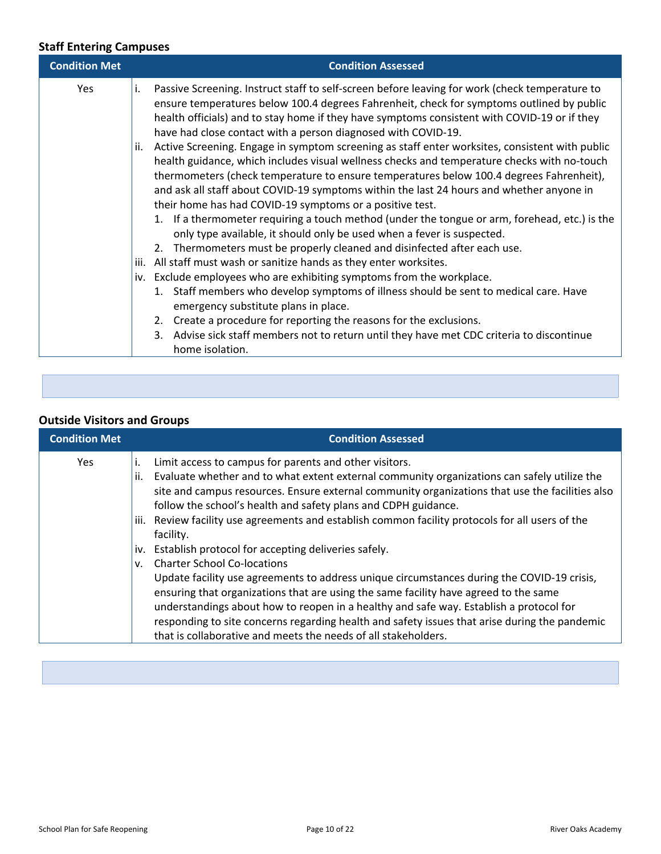## **Staff Entering Campuses**

| <b>Condition Met</b> | <b>Condition Assessed</b>                                                                                                                                                                                                                                                                                                                                                                                                                                                                                                                                                                                                                                                                                                                                                                                                                                                                                                                                                                                                                                                                                                                                                                                                                                                                                                                                                                                                                                                                                                                                    |
|----------------------|--------------------------------------------------------------------------------------------------------------------------------------------------------------------------------------------------------------------------------------------------------------------------------------------------------------------------------------------------------------------------------------------------------------------------------------------------------------------------------------------------------------------------------------------------------------------------------------------------------------------------------------------------------------------------------------------------------------------------------------------------------------------------------------------------------------------------------------------------------------------------------------------------------------------------------------------------------------------------------------------------------------------------------------------------------------------------------------------------------------------------------------------------------------------------------------------------------------------------------------------------------------------------------------------------------------------------------------------------------------------------------------------------------------------------------------------------------------------------------------------------------------------------------------------------------------|
| <b>Yes</b>           | Passive Screening. Instruct staff to self-screen before leaving for work (check temperature to<br>i.<br>ensure temperatures below 100.4 degrees Fahrenheit, check for symptoms outlined by public<br>health officials) and to stay home if they have symptoms consistent with COVID-19 or if they<br>have had close contact with a person diagnosed with COVID-19.<br>Active Screening. Engage in symptom screening as staff enter worksites, consistent with public<br>ii.<br>health guidance, which includes visual wellness checks and temperature checks with no-touch<br>thermometers (check temperature to ensure temperatures below 100.4 degrees Fahrenheit),<br>and ask all staff about COVID-19 symptoms within the last 24 hours and whether anyone in<br>their home has had COVID-19 symptoms or a positive test.<br>1. If a thermometer requiring a touch method (under the tongue or arm, forehead, etc.) is the<br>only type available, it should only be used when a fever is suspected.<br>2. Thermometers must be properly cleaned and disinfected after each use.<br>All staff must wash or sanitize hands as they enter worksites.<br>iii.<br>Exclude employees who are exhibiting symptoms from the workplace.<br>1. Staff members who develop symptoms of illness should be sent to medical care. Have<br>emergency substitute plans in place.<br>2. Create a procedure for reporting the reasons for the exclusions.<br>3. Advise sick staff members not to return until they have met CDC criteria to discontinue<br>home isolation. |

### **Outside Visitors and Groups**

| <b>Condition Met</b> | <b>Condition Assessed</b>                                                                                                                                         |
|----------------------|-------------------------------------------------------------------------------------------------------------------------------------------------------------------|
| <b>Yes</b>           | Limit access to campus for parents and other visitors.                                                                                                            |
|                      | Evaluate whether and to what extent external community organizations can safely utilize the<br>ii.                                                                |
|                      | site and campus resources. Ensure external community organizations that use the facilities also<br>follow the school's health and safety plans and CDPH guidance. |
|                      |                                                                                                                                                                   |
|                      | Review facility use agreements and establish common facility protocols for all users of the<br>iii.                                                               |
|                      | facility.                                                                                                                                                         |
|                      | Establish protocol for accepting deliveries safely.<br>iv.                                                                                                        |
|                      | <b>Charter School Co-locations</b><br>V.                                                                                                                          |
|                      | Update facility use agreements to address unique circumstances during the COVID-19 crisis,                                                                        |
|                      | ensuring that organizations that are using the same facility have agreed to the same                                                                              |
|                      | understandings about how to reopen in a healthy and safe way. Establish a protocol for                                                                            |
|                      | responding to site concerns regarding health and safety issues that arise during the pandemic                                                                     |
|                      | that is collaborative and meets the needs of all stakeholders.                                                                                                    |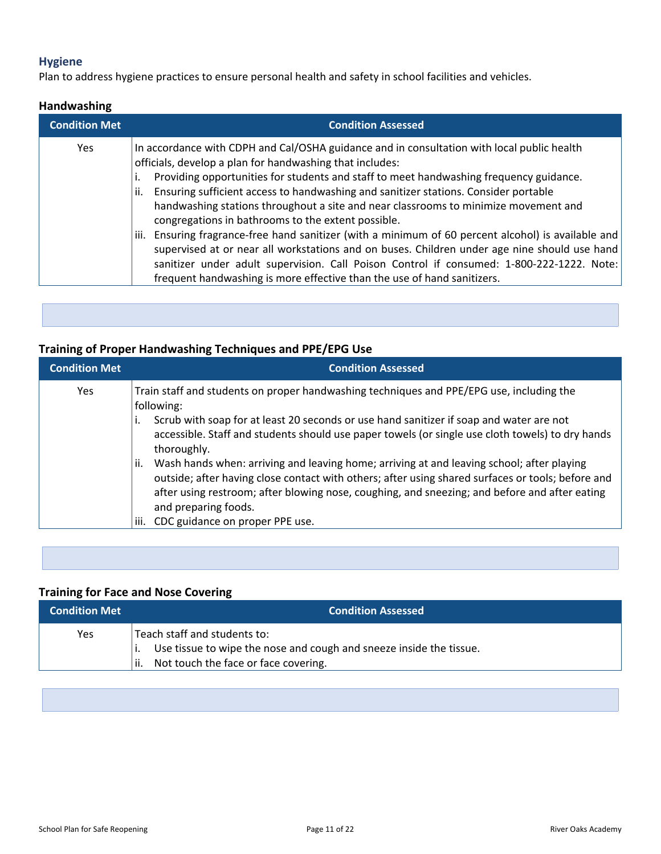## **Hygiene**

Plan to address hygiene practices to ensure personal health and safety in school facilities and vehicles.

### **Handwashing**

| <b>Condition Met</b> | <b>Condition Assessed</b>                                                                                                                                                                                                                                                                                                                                                                                                                                                                                                                                                                                                                                                                                                                                                                                                                                                     |
|----------------------|-------------------------------------------------------------------------------------------------------------------------------------------------------------------------------------------------------------------------------------------------------------------------------------------------------------------------------------------------------------------------------------------------------------------------------------------------------------------------------------------------------------------------------------------------------------------------------------------------------------------------------------------------------------------------------------------------------------------------------------------------------------------------------------------------------------------------------------------------------------------------------|
| Yes                  | In accordance with CDPH and Cal/OSHA guidance and in consultation with local public health<br>officials, develop a plan for handwashing that includes:<br>Providing opportunities for students and staff to meet handwashing frequency guidance.<br>Ensuring sufficient access to handwashing and sanitizer stations. Consider portable<br>ii.<br>handwashing stations throughout a site and near classrooms to minimize movement and<br>congregations in bathrooms to the extent possible.<br>Ensuring fragrance-free hand sanitizer (with a minimum of 60 percent alcohol) is available and<br>iii.<br>supervised at or near all workstations and on buses. Children under age nine should use hand<br>sanitizer under adult supervision. Call Poison Control if consumed: 1-800-222-1222. Note:<br>frequent handwashing is more effective than the use of hand sanitizers. |

**Training of Proper Handwashing Techniques and PPE/EPG Use**

| <b>Condition Met</b> | <b>Condition Assessed</b>                                                                                                                                                                                                                                                                                                      |
|----------------------|--------------------------------------------------------------------------------------------------------------------------------------------------------------------------------------------------------------------------------------------------------------------------------------------------------------------------------|
| Yes                  | Train staff and students on proper handwashing techniques and PPE/EPG use, including the<br>following:                                                                                                                                                                                                                         |
|                      | Scrub with soap for at least 20 seconds or use hand sanitizer if soap and water are not<br>accessible. Staff and students should use paper towels (or single use cloth towels) to dry hands<br>thoroughly.                                                                                                                     |
|                      | Wash hands when: arriving and leaving home; arriving at and leaving school; after playing<br>ii.<br>outside; after having close contact with others; after using shared surfaces or tools; before and<br>after using restroom; after blowing nose, coughing, and sneezing; and before and after eating<br>and preparing foods. |
|                      | CDC guidance on proper PPE use.<br>iii.                                                                                                                                                                                                                                                                                        |

## **Training for Face and Nose Covering**

| <b>Condition Met</b> | <b>Condition Assessed</b>                                                                                                                            |
|----------------------|------------------------------------------------------------------------------------------------------------------------------------------------------|
| Yes                  | Teach staff and students to:<br>Use tissue to wipe the nose and cough and sneeze inside the tissue.<br>Not touch the face or face covering.<br>' ii. |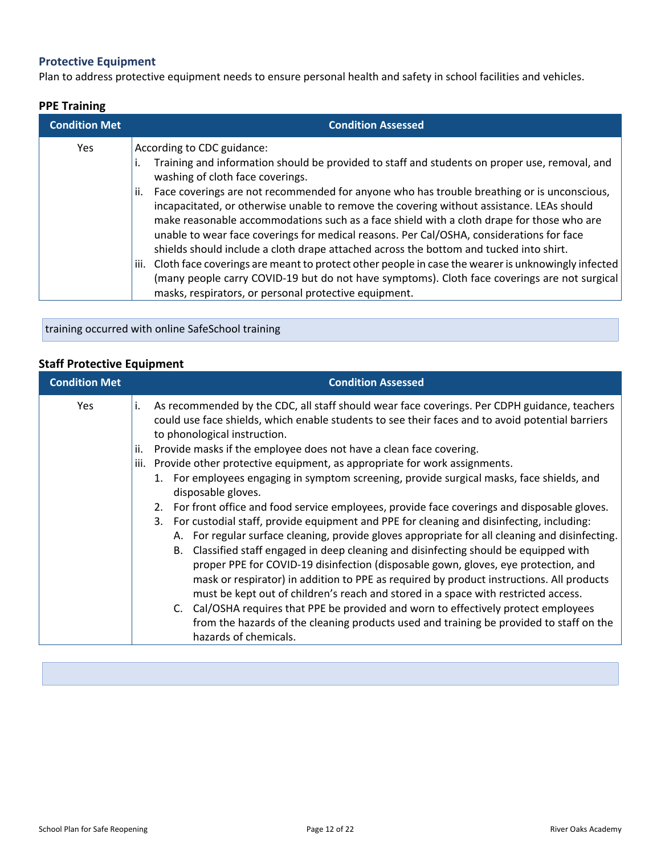## **Protective Equipment**

Plan to address protective equipment needs to ensure personal health and safety in school facilities and vehicles.

#### **PPE Training**

| <b>Condition Met</b> | <b>Condition Assessed</b>                                                                                                                                                                                                                                                                                                                                                                                                                                                                                                                                                                                                                                                                                                                                         |
|----------------------|-------------------------------------------------------------------------------------------------------------------------------------------------------------------------------------------------------------------------------------------------------------------------------------------------------------------------------------------------------------------------------------------------------------------------------------------------------------------------------------------------------------------------------------------------------------------------------------------------------------------------------------------------------------------------------------------------------------------------------------------------------------------|
| Yes                  | According to CDC guidance:<br>Training and information should be provided to staff and students on proper use, removal, and<br>washing of cloth face coverings.<br>Face coverings are not recommended for anyone who has trouble breathing or is unconscious,<br>ii.<br>incapacitated, or otherwise unable to remove the covering without assistance. LEAs should<br>make reasonable accommodations such as a face shield with a cloth drape for those who are<br>unable to wear face coverings for medical reasons. Per Cal/OSHA, considerations for face<br>shields should include a cloth drape attached across the bottom and tucked into shirt.<br>Cloth face coverings are meant to protect other people in case the wearer is unknowingly infected<br>iii. |
|                      | (many people carry COVID-19 but do not have symptoms). Cloth face coverings are not surgical<br>masks, respirators, or personal protective equipment.                                                                                                                                                                                                                                                                                                                                                                                                                                                                                                                                                                                                             |

training occurred with online SafeSchool training

## **Staff Protective Equipment**

| <b>Condition Met</b> |                   | <b>Condition Assessed</b>                                                                                                                                                                                                                                                                                                                                                                                                                                                                                                                                                                                                                                                                                                                                                                                                                                                                                                                                                                                                                                                                                                                                                                                                                                                                                                                                                              |
|----------------------|-------------------|----------------------------------------------------------------------------------------------------------------------------------------------------------------------------------------------------------------------------------------------------------------------------------------------------------------------------------------------------------------------------------------------------------------------------------------------------------------------------------------------------------------------------------------------------------------------------------------------------------------------------------------------------------------------------------------------------------------------------------------------------------------------------------------------------------------------------------------------------------------------------------------------------------------------------------------------------------------------------------------------------------------------------------------------------------------------------------------------------------------------------------------------------------------------------------------------------------------------------------------------------------------------------------------------------------------------------------------------------------------------------------------|
| <b>Yes</b>           | i.<br>ii.<br>iii. | As recommended by the CDC, all staff should wear face coverings. Per CDPH guidance, teachers<br>could use face shields, which enable students to see their faces and to avoid potential barriers<br>to phonological instruction.<br>Provide masks if the employee does not have a clean face covering.<br>Provide other protective equipment, as appropriate for work assignments.<br>1. For employees engaging in symptom screening, provide surgical masks, face shields, and<br>disposable gloves.<br>2. For front office and food service employees, provide face coverings and disposable gloves.<br>3. For custodial staff, provide equipment and PPE for cleaning and disinfecting, including:<br>A. For regular surface cleaning, provide gloves appropriate for all cleaning and disinfecting.<br>Classified staff engaged in deep cleaning and disinfecting should be equipped with<br>B.<br>proper PPE for COVID-19 disinfection (disposable gown, gloves, eye protection, and<br>mask or respirator) in addition to PPE as required by product instructions. All products<br>must be kept out of children's reach and stored in a space with restricted access.<br>C. Cal/OSHA requires that PPE be provided and worn to effectively protect employees<br>from the hazards of the cleaning products used and training be provided to staff on the<br>hazards of chemicals. |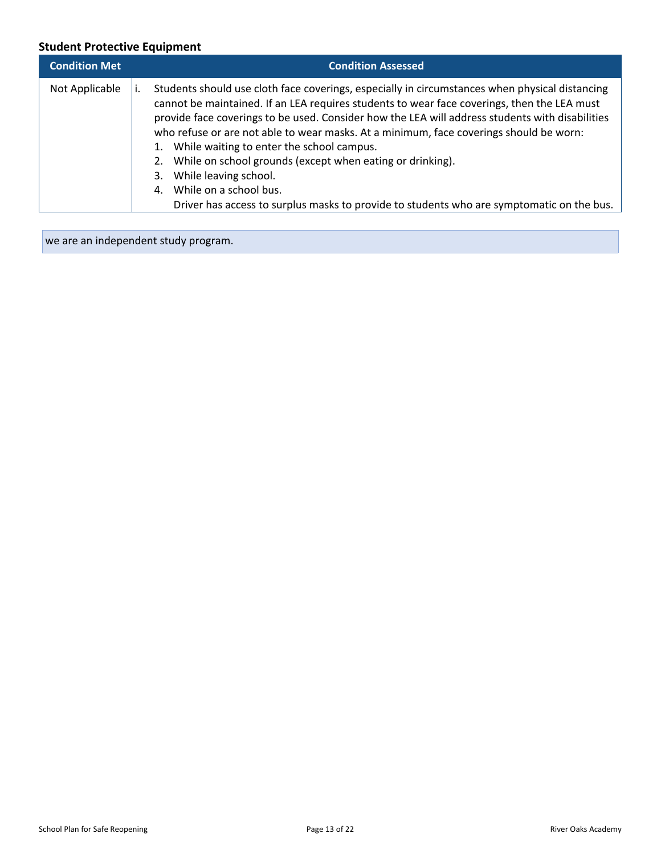## **Student Protective Equipment**

| <b>Condition Met</b> | <b>Condition Assessed</b>                                                                                                                                                                                                                                                                                                                                                                                                                                                                                                                                                                                                                                        |
|----------------------|------------------------------------------------------------------------------------------------------------------------------------------------------------------------------------------------------------------------------------------------------------------------------------------------------------------------------------------------------------------------------------------------------------------------------------------------------------------------------------------------------------------------------------------------------------------------------------------------------------------------------------------------------------------|
| Not Applicable       | Students should use cloth face coverings, especially in circumstances when physical distancing<br>cannot be maintained. If an LEA requires students to wear face coverings, then the LEA must<br>provide face coverings to be used. Consider how the LEA will address students with disabilities<br>who refuse or are not able to wear masks. At a minimum, face coverings should be worn:<br>1. While waiting to enter the school campus.<br>2. While on school grounds (except when eating or drinking).<br>3. While leaving school.<br>4. While on a school bus.<br>Driver has access to surplus masks to provide to students who are symptomatic on the bus. |

we are an independent study program.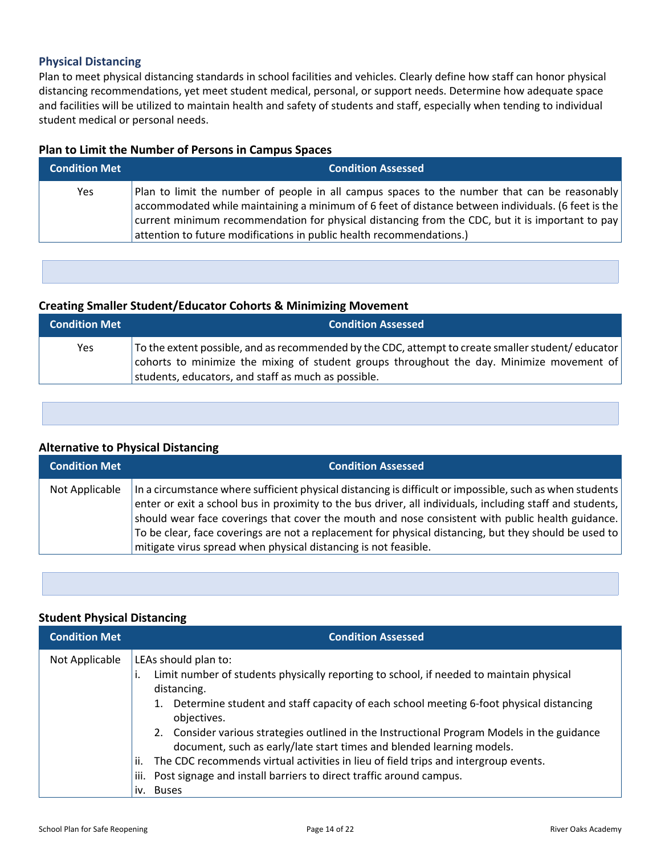#### **Physical Distancing**

Plan to meet physical distancing standards in school facilities and vehicles. Clearly define how staff can honor physical distancing recommendations, yet meet student medical, personal, or support needs. Determine how adequate space and facilities will be utilized to maintain health and safety of students and staff, especially when tending to individual student medical or personal needs.

#### **Plan to Limit the Number of Persons in Campus Spaces**

| <b>Condition Met</b> | <b>Condition Assessed</b>                                                                                                                                                                                                                                                                                                                                                              |
|----------------------|----------------------------------------------------------------------------------------------------------------------------------------------------------------------------------------------------------------------------------------------------------------------------------------------------------------------------------------------------------------------------------------|
| Yes                  | Plan to limit the number of people in all campus spaces to the number that can be reasonably<br>$\alpha$ accommodated while maintaining a minimum of 6 feet of distance between individuals. (6 feet is the<br>current minimum recommendation for physical distancing from the CDC, but it is important to pay<br>attention to future modifications in public health recommendations.) |

### **Creating Smaller Student/Educator Cohorts & Minimizing Movement**

| <b>Condition Met</b> | <b>Condition Assessed</b>                                                                                                                                                                                                                             |
|----------------------|-------------------------------------------------------------------------------------------------------------------------------------------------------------------------------------------------------------------------------------------------------|
| Yes                  | To the extent possible, and as recommended by the CDC, attempt to create smaller student/educator<br>cohorts to minimize the mixing of student groups throughout the day. Minimize movement of<br>students, educators, and staff as much as possible. |

#### **Alternative to Physical Distancing**

| <b>Condition Met</b> | <b>Condition Assessed</b>                                                                                                                                                                                                                                                                                                                                                                                                                                                                             |
|----------------------|-------------------------------------------------------------------------------------------------------------------------------------------------------------------------------------------------------------------------------------------------------------------------------------------------------------------------------------------------------------------------------------------------------------------------------------------------------------------------------------------------------|
| Not Applicable       | In a circumstance where sufficient physical distancing is difficult or impossible, such as when students<br>enter or exit a school bus in proximity to the bus driver, all individuals, including staff and students,<br>should wear face coverings that cover the mouth and nose consistent with public health guidance.<br>To be clear, face coverings are not a replacement for physical distancing, but they should be used to<br>mitigate virus spread when physical distancing is not feasible. |

#### **Student Physical Distancing**

| <b>Condition Met</b> | <b>Condition Assessed</b>                                                                                                                                                                                                                                                                                                                                                                                          |
|----------------------|--------------------------------------------------------------------------------------------------------------------------------------------------------------------------------------------------------------------------------------------------------------------------------------------------------------------------------------------------------------------------------------------------------------------|
| Not Applicable       | LEAs should plan to:<br>Limit number of students physically reporting to school, if needed to maintain physical<br>distancing.<br>1. Determine student and staff capacity of each school meeting 6-foot physical distancing<br>objectives.<br>2. Consider various strategies outlined in the Instructional Program Models in the guidance<br>document, such as early/late start times and blended learning models. |
|                      | The CDC recommends virtual activities in lieu of field trips and intergroup events.<br>ii.                                                                                                                                                                                                                                                                                                                         |
|                      | Post signage and install barriers to direct traffic around campus.<br>iii.                                                                                                                                                                                                                                                                                                                                         |
|                      | iv. Buses                                                                                                                                                                                                                                                                                                                                                                                                          |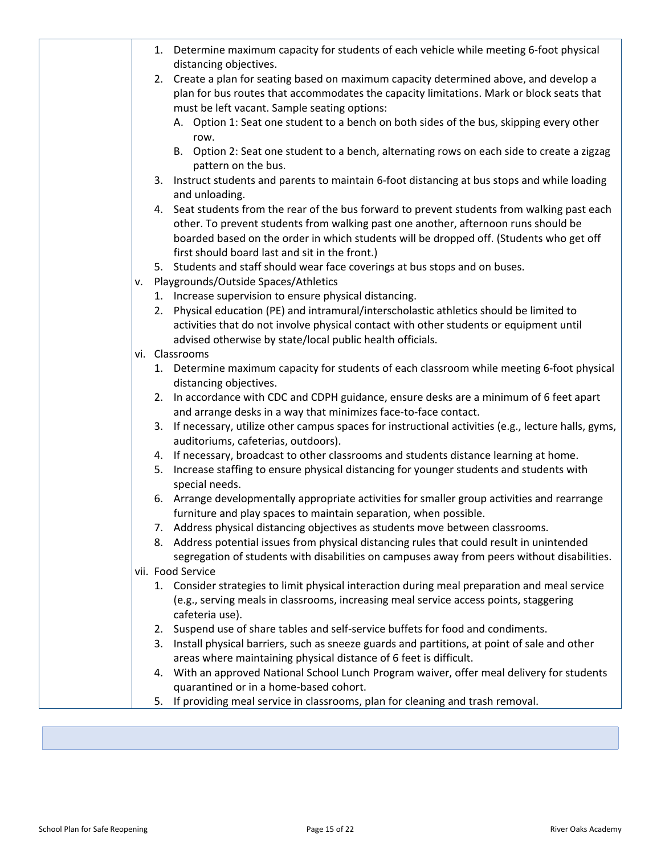|    | 1. Determine maximum capacity for students of each vehicle while meeting 6-foot physical<br>distancing objectives.                                                                                                                                                                                                              |
|----|---------------------------------------------------------------------------------------------------------------------------------------------------------------------------------------------------------------------------------------------------------------------------------------------------------------------------------|
|    | 2. Create a plan for seating based on maximum capacity determined above, and develop a<br>plan for bus routes that accommodates the capacity limitations. Mark or block seats that                                                                                                                                              |
|    | must be left vacant. Sample seating options:<br>A. Option 1: Seat one student to a bench on both sides of the bus, skipping every other                                                                                                                                                                                         |
|    | row.<br>B. Option 2: Seat one student to a bench, alternating rows on each side to create a zigzag<br>pattern on the bus.                                                                                                                                                                                                       |
|    | 3. Instruct students and parents to maintain 6-foot distancing at bus stops and while loading<br>and unloading.                                                                                                                                                                                                                 |
|    | 4. Seat students from the rear of the bus forward to prevent students from walking past each<br>other. To prevent students from walking past one another, afternoon runs should be<br>boarded based on the order in which students will be dropped off. (Students who get off<br>first should board last and sit in the front.) |
|    | 5. Students and staff should wear face coverings at bus stops and on buses.                                                                                                                                                                                                                                                     |
| ۷. | Playgrounds/Outside Spaces/Athletics                                                                                                                                                                                                                                                                                            |
|    | 1. Increase supervision to ensure physical distancing.                                                                                                                                                                                                                                                                          |
|    | Physical education (PE) and intramural/interscholastic athletics should be limited to<br>2.<br>activities that do not involve physical contact with other students or equipment until<br>advised otherwise by state/local public health officials.                                                                              |
|    | vi. Classrooms                                                                                                                                                                                                                                                                                                                  |
|    | 1. Determine maximum capacity for students of each classroom while meeting 6-foot physical<br>distancing objectives.                                                                                                                                                                                                            |
|    | 2. In accordance with CDC and CDPH guidance, ensure desks are a minimum of 6 feet apart<br>and arrange desks in a way that minimizes face-to-face contact.                                                                                                                                                                      |
|    | If necessary, utilize other campus spaces for instructional activities (e.g., lecture halls, gyms,<br>3.<br>auditoriums, cafeterias, outdoors).                                                                                                                                                                                 |
|    | 4. If necessary, broadcast to other classrooms and students distance learning at home.                                                                                                                                                                                                                                          |
|    | Increase staffing to ensure physical distancing for younger students and students with<br>5.<br>special needs.                                                                                                                                                                                                                  |
|    | 6. Arrange developmentally appropriate activities for smaller group activities and rearrange<br>furniture and play spaces to maintain separation, when possible.                                                                                                                                                                |
|    | 7. Address physical distancing objectives as students move between classrooms.                                                                                                                                                                                                                                                  |
|    | 8. Address potential issues from physical distancing rules that could result in unintended<br>segregation of students with disabilities on campuses away from peers without disabilities.                                                                                                                                       |
|    | vii. Food Service                                                                                                                                                                                                                                                                                                               |
|    | 1. Consider strategies to limit physical interaction during meal preparation and meal service                                                                                                                                                                                                                                   |
|    | (e.g., serving meals in classrooms, increasing meal service access points, staggering<br>cafeteria use).                                                                                                                                                                                                                        |
|    | 2. Suspend use of share tables and self-service buffets for food and condiments.                                                                                                                                                                                                                                                |
|    | Install physical barriers, such as sneeze guards and partitions, at point of sale and other<br>3.<br>areas where maintaining physical distance of 6 feet is difficult.                                                                                                                                                          |
|    | 4. With an approved National School Lunch Program waiver, offer meal delivery for students<br>quarantined or in a home-based cohort.                                                                                                                                                                                            |
|    | If providing meal service in classrooms, plan for cleaning and trash removal.<br>5.                                                                                                                                                                                                                                             |
|    |                                                                                                                                                                                                                                                                                                                                 |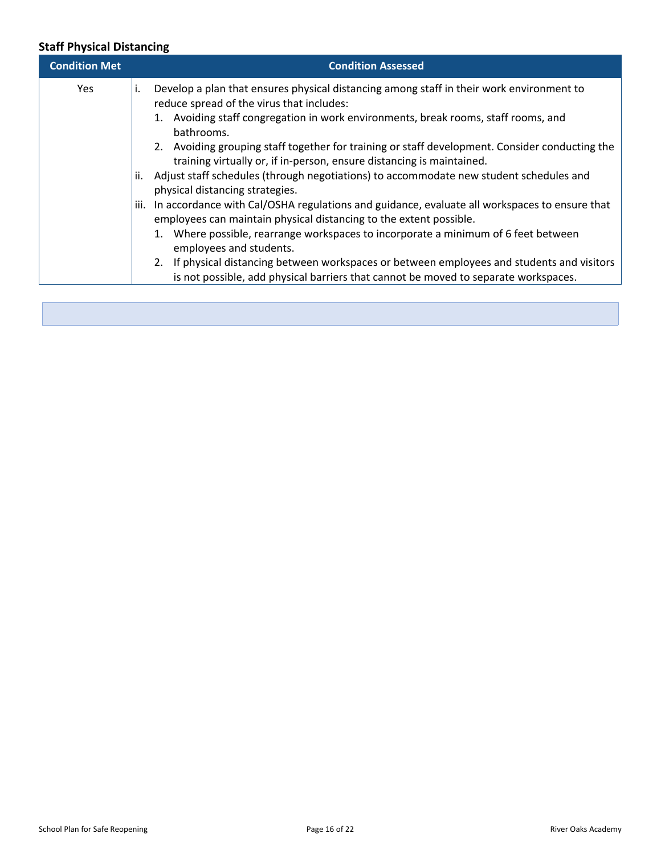## **Staff Physical Distancing**

| <b>Condition Met</b> | <b>Condition Assessed</b>                                                                                                                                                                                                                                                                                                                                                                                                                                                                                                                                                                                                                                                                                                                                                                                                                                                                                                                                                                                                                           |
|----------------------|-----------------------------------------------------------------------------------------------------------------------------------------------------------------------------------------------------------------------------------------------------------------------------------------------------------------------------------------------------------------------------------------------------------------------------------------------------------------------------------------------------------------------------------------------------------------------------------------------------------------------------------------------------------------------------------------------------------------------------------------------------------------------------------------------------------------------------------------------------------------------------------------------------------------------------------------------------------------------------------------------------------------------------------------------------|
| <b>Yes</b>           | Develop a plan that ensures physical distancing among staff in their work environment to<br>Ι.<br>reduce spread of the virus that includes:<br>1. Avoiding staff congregation in work environments, break rooms, staff rooms, and<br>bathrooms.<br>2. Avoiding grouping staff together for training or staff development. Consider conducting the<br>training virtually or, if in-person, ensure distancing is maintained.<br>Adjust staff schedules (through negotiations) to accommodate new student schedules and<br>ii.<br>physical distancing strategies.<br>In accordance with Cal/OSHA regulations and guidance, evaluate all workspaces to ensure that<br>iii.<br>employees can maintain physical distancing to the extent possible.<br>1. Where possible, rearrange workspaces to incorporate a minimum of 6 feet between<br>employees and students.<br>2. If physical distancing between workspaces or between employees and students and visitors<br>is not possible, add physical barriers that cannot be moved to separate workspaces. |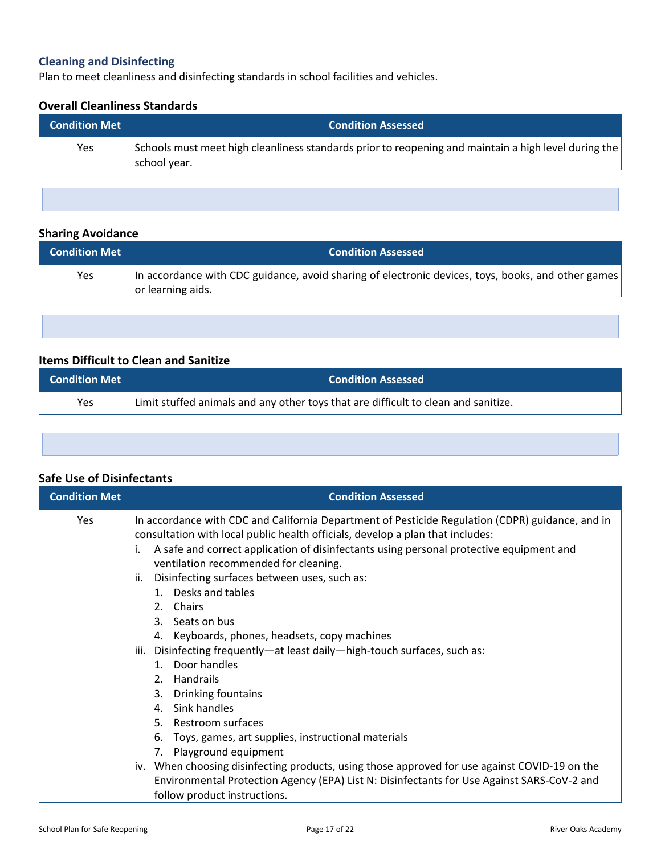## **Cleaning and Disinfecting**

Plan to meet cleanliness and disinfecting standards in school facilities and vehicles.

#### **Overall Cleanliness Standards**

| <b>Condition Met</b> | <b>Condition Assessed</b>                                                                                              |
|----------------------|------------------------------------------------------------------------------------------------------------------------|
| Yes                  | Schools must meet high cleanliness standards prior to reopening and maintain a high level during the<br>  school year. |

### **Sharing Avoidance**

| <b>Condition Met</b> | <b>Condition Assessed</b>                                                                                               |
|----------------------|-------------------------------------------------------------------------------------------------------------------------|
| Yes                  | In accordance with CDC guidance, avoid sharing of electronic devices, toys, books, and other games<br>or learning aids. |

## **Items Difficult to Clean and Sanitize**

| <b>Condition Met</b> | <b>Condition Assessed</b>                                                          |
|----------------------|------------------------------------------------------------------------------------|
| Yes                  | Limit stuffed animals and any other toys that are difficult to clean and sanitize. |

| <b>Safe Use of Disinfectants</b> |                                                                                                                                                                                                                                                                                                                                                                                                                                                                                                                                                                                                                                                                                                                                                                                                                                                                                                                                                                                                    |
|----------------------------------|----------------------------------------------------------------------------------------------------------------------------------------------------------------------------------------------------------------------------------------------------------------------------------------------------------------------------------------------------------------------------------------------------------------------------------------------------------------------------------------------------------------------------------------------------------------------------------------------------------------------------------------------------------------------------------------------------------------------------------------------------------------------------------------------------------------------------------------------------------------------------------------------------------------------------------------------------------------------------------------------------|
| <b>Condition Met</b>             | <b>Condition Assessed</b>                                                                                                                                                                                                                                                                                                                                                                                                                                                                                                                                                                                                                                                                                                                                                                                                                                                                                                                                                                          |
| Yes                              | In accordance with CDC and California Department of Pesticide Regulation (CDPR) guidance, and in<br>consultation with local public health officials, develop a plan that includes:<br>A safe and correct application of disinfectants using personal protective equipment and<br>ventilation recommended for cleaning.<br>Disinfecting surfaces between uses, such as:<br>ii.<br>1. Desks and tables<br>2. Chairs<br>3. Seats on bus<br>4. Keyboards, phones, headsets, copy machines<br>Disinfecting frequently-at least daily-high-touch surfaces, such as:<br>iii.<br>1. Door handles<br>2. Handrails<br>3. Drinking fountains<br>4. Sink handles<br>5. Restroom surfaces<br>Toys, games, art supplies, instructional materials<br>6.<br>7. Playground equipment<br>iv. When choosing disinfecting products, using those approved for use against COVID-19 on the<br>Environmental Protection Agency (EPA) List N: Disinfectants for Use Against SARS-CoV-2 and<br>follow product instructions. |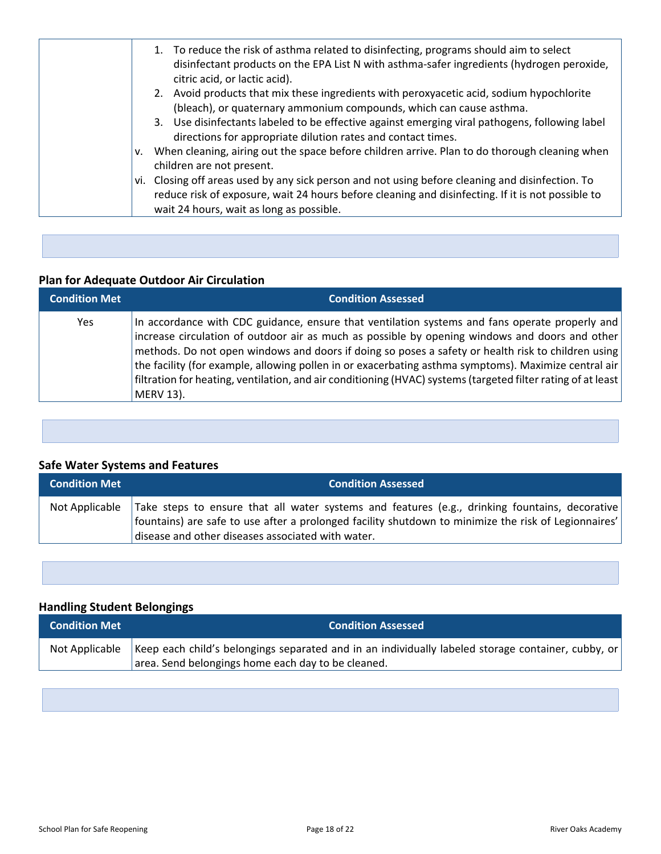| 1. To reduce the risk of asthma related to disinfecting, programs should aim to select<br>disinfectant products on the EPA List N with asthma-safer ingredients (hydrogen peroxide,<br>citric acid, or lactic acid).                              |
|---------------------------------------------------------------------------------------------------------------------------------------------------------------------------------------------------------------------------------------------------|
| 2. Avoid products that mix these ingredients with peroxyacetic acid, sodium hypochlorite<br>(bleach), or quaternary ammonium compounds, which can cause asthma.                                                                                   |
|                                                                                                                                                                                                                                                   |
| 3. Use disinfectants labeled to be effective against emerging viral pathogens, following label<br>directions for appropriate dilution rates and contact times.                                                                                    |
| When cleaning, airing out the space before children arrive. Plan to do thorough cleaning when<br>children are not present.                                                                                                                        |
| vi. Closing off areas used by any sick person and not using before cleaning and disinfection. To<br>reduce risk of exposure, wait 24 hours before cleaning and disinfecting. If it is not possible to<br>wait 24 hours, wait as long as possible. |
|                                                                                                                                                                                                                                                   |

# **Plan for Adequate Outdoor Air Circulation**

| <b>Condition Met</b> | <b>Condition Assessed</b>                                                                                                                                                                                                                                                                                                                                                                                                                                                                                                                   |
|----------------------|---------------------------------------------------------------------------------------------------------------------------------------------------------------------------------------------------------------------------------------------------------------------------------------------------------------------------------------------------------------------------------------------------------------------------------------------------------------------------------------------------------------------------------------------|
| Yes.                 | In accordance with CDC guidance, ensure that ventilation systems and fans operate properly and<br>increase circulation of outdoor air as much as possible by opening windows and doors and other<br>methods. Do not open windows and doors if doing so poses a safety or health risk to children using<br>the facility (for example, allowing pollen in or exacerbating asthma symptoms). Maximize central air<br>filtration for heating, ventilation, and air conditioning (HVAC) systems (targeted filter rating of at least<br>MERV 13). |

## **Safe Water Systems and Features**

| <b>Condition Met</b> | <b>Condition Assessed</b>                                                                                                                                                                                                                                        |
|----------------------|------------------------------------------------------------------------------------------------------------------------------------------------------------------------------------------------------------------------------------------------------------------|
| Not Applicable       | Take steps to ensure that all water systems and features (e.g., drinking fountains, decorative)<br>  fountains) are safe to use after a prolonged facility shutdown to minimize the risk of Legionnaires'  <br>disease and other diseases associated with water. |

## **Handling Student Belongings**

| <b>Condition Met</b> | <b>Condition Assessed</b>                                                                                           |
|----------------------|---------------------------------------------------------------------------------------------------------------------|
|                      | Not Applicable   Keep each child's belongings separated and in an individually labeled storage container, cubby, or |
|                      | area. Send belongings home each day to be cleaned.                                                                  |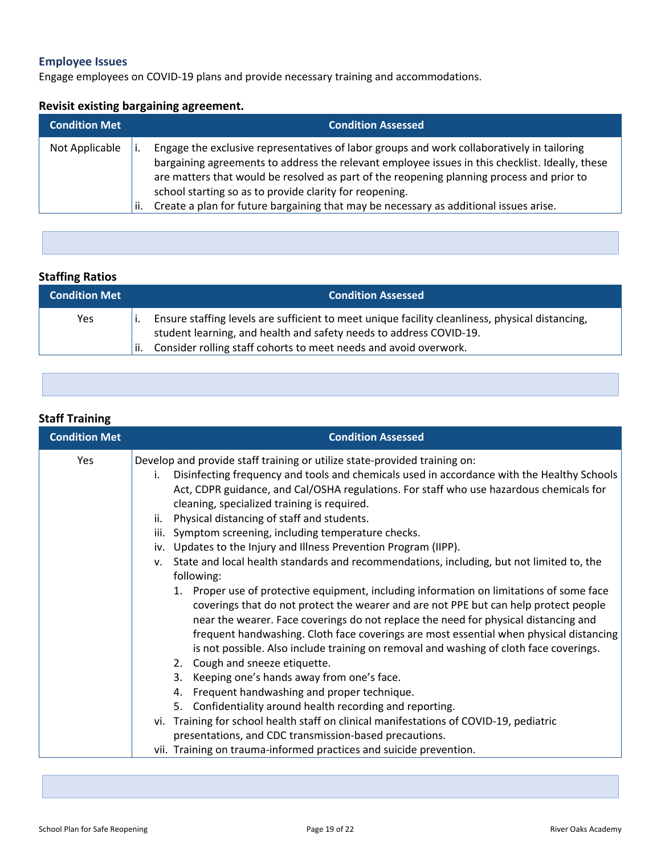## **Employee Issues**

Engage employees on COVID-19 plans and provide necessary training and accommodations.

### **Revisit existing bargaining agreement.**

| <b>Condition Met</b> |     | <b>Condition Assessed</b>                                                                                                                                                                                                                                                                                                                                                                                                                      |
|----------------------|-----|------------------------------------------------------------------------------------------------------------------------------------------------------------------------------------------------------------------------------------------------------------------------------------------------------------------------------------------------------------------------------------------------------------------------------------------------|
| Not Applicable       | ii. | Engage the exclusive representatives of labor groups and work collaboratively in tailoring<br>bargaining agreements to address the relevant employee issues in this checklist. Ideally, these<br>are matters that would be resolved as part of the reopening planning process and prior to<br>school starting so as to provide clarity for reopening.<br>Create a plan for future bargaining that may be necessary as additional issues arise. |

## **Staffing Ratios**

| <b>Condition Met</b> | <b>Condition Assessed</b>                                                                                                                                                                                                                        |
|----------------------|--------------------------------------------------------------------------------------------------------------------------------------------------------------------------------------------------------------------------------------------------|
| Yes                  | Ensure staffing levels are sufficient to meet unique facility cleanliness, physical distancing,<br>student learning, and health and safety needs to address COVID-19.<br>Consider rolling staff cohorts to meet needs and avoid overwork.<br>ii. |

### **Staff Training**

| <b>Condition Met</b> | <b>Condition Assessed</b>                                                                                                                                                                                                                                                                                                                                                                                                                                                                                                                                                                                                                                                                                                                                                                                                                                                                                                                                                                                                                                                                                                                                                                                                                                                                                                                                                                                                                             |
|----------------------|-------------------------------------------------------------------------------------------------------------------------------------------------------------------------------------------------------------------------------------------------------------------------------------------------------------------------------------------------------------------------------------------------------------------------------------------------------------------------------------------------------------------------------------------------------------------------------------------------------------------------------------------------------------------------------------------------------------------------------------------------------------------------------------------------------------------------------------------------------------------------------------------------------------------------------------------------------------------------------------------------------------------------------------------------------------------------------------------------------------------------------------------------------------------------------------------------------------------------------------------------------------------------------------------------------------------------------------------------------------------------------------------------------------------------------------------------------|
| Yes                  | Develop and provide staff training or utilize state-provided training on:<br>Disinfecting frequency and tools and chemicals used in accordance with the Healthy Schools<br>i.<br>Act, CDPR guidance, and Cal/OSHA regulations. For staff who use hazardous chemicals for<br>cleaning, specialized training is required.<br>Physical distancing of staff and students.<br>ii.<br>iii. Symptom screening, including temperature checks.<br>iv. Updates to the Injury and Illness Prevention Program (IIPP).<br>State and local health standards and recommendations, including, but not limited to, the<br>v.<br>following:<br>1. Proper use of protective equipment, including information on limitations of some face<br>coverings that do not protect the wearer and are not PPE but can help protect people<br>near the wearer. Face coverings do not replace the need for physical distancing and<br>frequent handwashing. Cloth face coverings are most essential when physical distancing<br>is not possible. Also include training on removal and washing of cloth face coverings.<br>2. Cough and sneeze etiquette.<br>Keeping one's hands away from one's face.<br>3.<br>Frequent handwashing and proper technique.<br>4.<br>Confidentiality around health recording and reporting.<br>5.<br>vi. Training for school health staff on clinical manifestations of COVID-19, pediatric<br>presentations, and CDC transmission-based precautions. |
|                      | vii. Training on trauma-informed practices and suicide prevention.                                                                                                                                                                                                                                                                                                                                                                                                                                                                                                                                                                                                                                                                                                                                                                                                                                                                                                                                                                                                                                                                                                                                                                                                                                                                                                                                                                                    |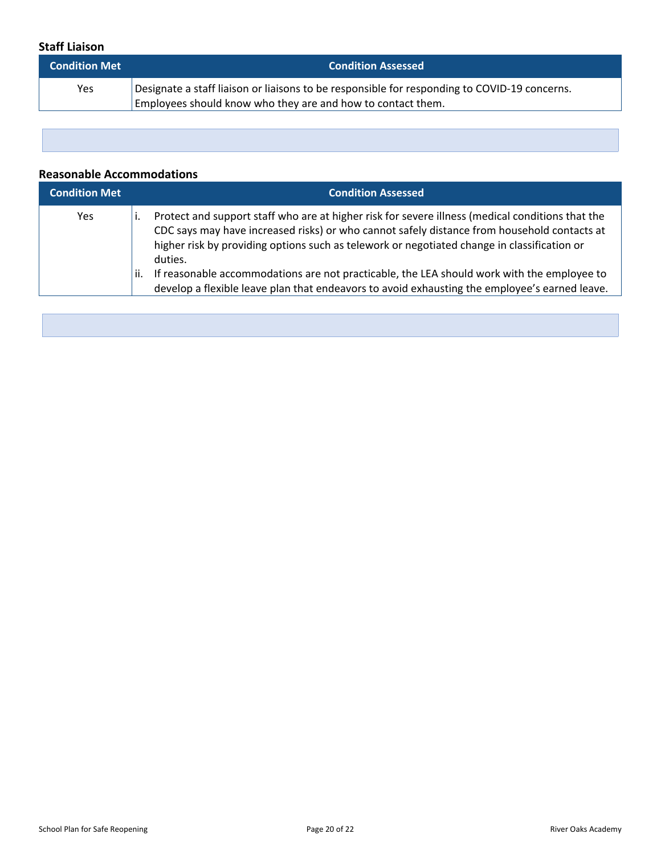#### **Staff Liaison**

| <b>Condition Met</b> | <b>Condition Assessed</b>                                                                    |
|----------------------|----------------------------------------------------------------------------------------------|
| Yes                  | Designate a staff liaison or liaisons to be responsible for responding to COVID-19 concerns. |
|                      | Employees should know who they are and how to contact them.                                  |

#### **Reasonable Accommodations**

| <b>Condition Met</b> | <b>Condition Assessed</b>                                                                                                                                                                                                                                                                                                                                                                                                                                                                                       |
|----------------------|-----------------------------------------------------------------------------------------------------------------------------------------------------------------------------------------------------------------------------------------------------------------------------------------------------------------------------------------------------------------------------------------------------------------------------------------------------------------------------------------------------------------|
| Yes.                 | Protect and support staff who are at higher risk for severe illness (medical conditions that the<br>CDC says may have increased risks) or who cannot safely distance from household contacts at<br>higher risk by providing options such as telework or negotiated change in classification or<br>duties.<br>If reasonable accommodations are not practicable, the LEA should work with the employee to<br>ii.<br>develop a flexible leave plan that endeavors to avoid exhausting the employee's earned leave. |